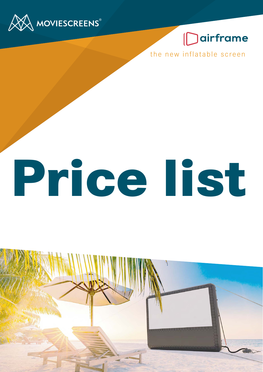

## **Dairframe**

the new inflatable screen

# **Price list**

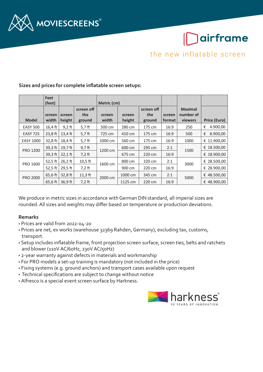

## airframe

the new inflatable screen

|                  | <b>Feet</b> |           |            |             |         |            |        |                |               |
|------------------|-------------|-----------|------------|-------------|---------|------------|--------|----------------|---------------|
|                  | (feet)      |           |            | Metric (cm) |         |            |        |                |               |
|                  |             |           | screen off |             |         | screen off |        | <b>Maximal</b> |               |
|                  | screen      | screen    | the        | screen      | screen  | the        | screen | number of      |               |
| <b>Model</b>     | width       | height    | ground     | width       | height  | ground     | format | viewers        | Price (Euro)  |
| <b>EASY 500</b>  | $16,4$ ft   | $9,2$ ft  | $5,7$ ft   | 500 cm      | 280 cm  | 175 cm     | 16:9   | 250            | €<br>4.900,00 |
| <b>EASY 725</b>  | $23,8$ ft   | $13,4$ ft | $5,7$ ft   | 725 cm      | 410 cm  | 175 cm     | 16:9   | 500            | 8.900,00<br>€ |
| <b>EASY 1000</b> | $32,8$ ft   | $18,4$ ft | 5,7 ft     | 1000 cm     | 560 cm  | 175 cm     | 16:9   | 1000           | € 11.900,00   |
| PRO 1200         | $39.3$ ft   | $19.7$ ft | $9,7$ ft   | 1200 cm     | 600 cm  | 295 cm     | 2:1    | 1500           | € 18.500,00   |
|                  | $39,3$ ft   | $22,1$ ft | $7,2$ ft   |             | 675 cm  | 220 cm     | 16:9   |                | € 18.900,00   |
| PRO 1600         | 52,5 $ft$   | $26,2$ ft | $10,5$ ft  | 1600 cm     | 800 cm  | 320 cm     | 2:1    | 3000           | € 28.500,00   |
|                  | 52,5 ft     | 29,5 ft   | $7,2$ ft   |             | 900 cm  | 220 cm     | 16:9   |                | € 28.900,00   |
| <b>PRO 2000</b>  | 65,6 ft     | $32,8$ ft | $11,3$ ft  | 2000 cm     | 1000 cm | 345 cm     | 2:1    | 5000           | € 48.500,00   |
|                  | 65,6 ft     | 36,9 ft   | $7.2$ ft   |             | 1125 cm | 220 cm     | 16:9   |                | € 48.900,00   |

#### **Sizes and prices for complete inflatable screen setups:**

We produce in metric sizes in accordance with German DIN standard, all imperial sizes are rounded. All sizes and weights may differ based on temperature or production deviations.

#### **Remarks**

- Prices are valid from 2022-04-20
- Prices are net, ex works (warehouse 32369 Rahden, Germany), excluding tax, customs, transport.
- Setup includes inflatable frame, front projection screen surface, screen ties, belts and ratchets and blower (110V AC/60Hz, 230V AC/50Hz)
- 2-year warranty against defects in materials and workmanship
- For PRO models a set-up training is mandatory (not included in the price)
- Fixing systems (e.g. ground anchors) and transport cases available upon request
- Technical specifications are subject to change without notice
- Alfresco is a special event screen surface by Harkness.